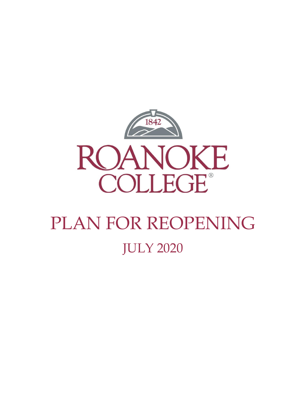

# PLAN FOR REOPENING JULY 2020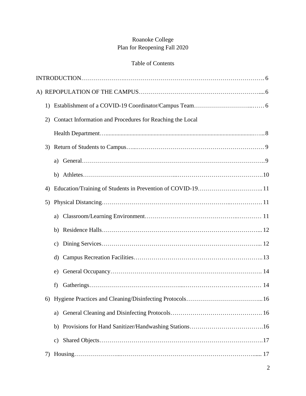# Roanoke College Plan for Reopening Fall 2020

# Table of Contents

| 1) |                                                             |
|----|-------------------------------------------------------------|
| 2) | Contact Information and Procedures for Reaching the Local   |
|    |                                                             |
| 3) |                                                             |
|    | a)                                                          |
|    |                                                             |
| 4) | Education/Training of Students in Prevention of COVID-19 11 |
| 5) |                                                             |
|    | a)                                                          |
|    |                                                             |
|    | $\mathbf{c})$                                               |
|    | $\rm d$                                                     |
|    | e)                                                          |
|    | f)                                                          |
|    |                                                             |
|    | a)                                                          |
|    |                                                             |
|    | c)                                                          |
| 7) |                                                             |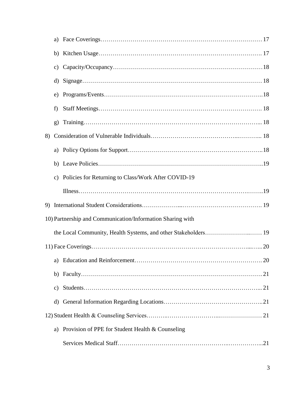|    | c)           |                                                            |
|----|--------------|------------------------------------------------------------|
|    |              |                                                            |
|    | e)           |                                                            |
|    | f)           |                                                            |
|    | $\mathbf{g}$ |                                                            |
| 8) |              |                                                            |
|    |              |                                                            |
|    |              |                                                            |
|    |              | c) Policies for Returning to Class/Work After COVID-19     |
|    |              |                                                            |
|    |              |                                                            |
|    |              | 10) Partnership and Communication/Information Sharing with |
|    |              |                                                            |
|    |              |                                                            |
|    |              |                                                            |
|    |              |                                                            |
|    | C)           |                                                            |
|    | d)           |                                                            |
|    |              |                                                            |
|    | a)           | Provision of PPE for Student Health & Counseling           |
|    |              |                                                            |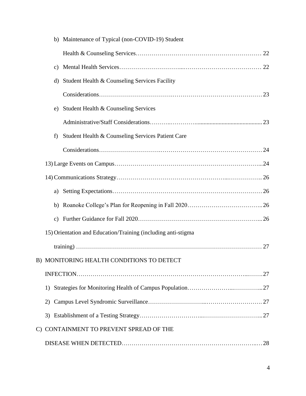|    |               | b) Maintenance of Typical (non-COVID-19) Student              |
|----|---------------|---------------------------------------------------------------|
|    |               |                                                               |
|    | $\mathbf{c})$ |                                                               |
|    | $\rm d$       | Student Health & Counseling Services Facility                 |
|    |               |                                                               |
|    | e)            | Student Health & Counseling Services                          |
|    |               |                                                               |
|    | f)            | Student Health & Counseling Services Patient Care             |
|    |               |                                                               |
|    |               |                                                               |
|    |               |                                                               |
|    | a)            |                                                               |
|    | b)            |                                                               |
|    | $\mathbf{c})$ |                                                               |
|    |               | 15) Orientation and Education/Training (including anti-stigma |
|    |               |                                                               |
|    |               | B) MONITORING HEALTH CONDITIONS TO DETECT                     |
|    |               |                                                               |
|    | 1)            |                                                               |
|    | 2)            |                                                               |
|    |               |                                                               |
| C) |               | CONTAINMENT TO PREVENT SPREAD OF THE                          |
|    |               |                                                               |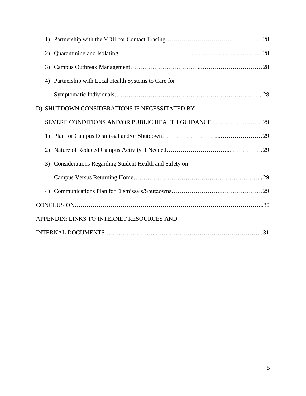|  | 2) |                                                          |  |  |  |
|--|----|----------------------------------------------------------|--|--|--|
|  | 3) |                                                          |  |  |  |
|  | 4) | Partnership with Local Health Systems to Care for        |  |  |  |
|  |    |                                                          |  |  |  |
|  |    | D) SHUTDOWN CONSIDERATIONS IF NECESSITATED BY            |  |  |  |
|  |    |                                                          |  |  |  |
|  |    |                                                          |  |  |  |
|  | 2) |                                                          |  |  |  |
|  |    | 3) Considerations Regarding Student Health and Safety on |  |  |  |
|  |    |                                                          |  |  |  |
|  | 4) |                                                          |  |  |  |
|  |    | $CONCLUSION. \dots 30$                                   |  |  |  |
|  |    | APPENDIX: LINKS TO INTERNET RESOURCES AND                |  |  |  |
|  |    |                                                          |  |  |  |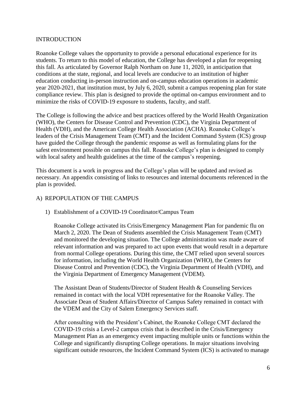## INTRODUCTION

Roanoke College values the opportunity to provide a personal educational experience for its students. To return to this model of education, the College has developed a plan for reopening this fall. As articulated by Governor Ralph Northam on June 11, 2020, in anticipation that conditions at the state, regional, and local levels are conducive to an institution of higher education conducting in-person instruction and on-campus education operations in academic year 2020-2021, that institution must, by July 6, 2020, submit a campus reopening plan for state compliance review. This plan is designed to provide the optimal on-campus environment and to minimize the risks of COVID-19 exposure to students, faculty, and staff.

The College is following the advice and best practices offered by the World Health Organization (WHO), the Centers for Disease Control and Prevention (CDC), the Virginia Department of Health (VDH), and the American College Health Association (ACHA). Roanoke College's leaders of the Crisis Management Team (CMT) and the Incident Command System (ICS) group have guided the College through the pandemic response as well as formulating plans for the safest environment possible on campus this fall. Roanoke College's plan is designed to comply with local safety and health guidelines at the time of the campus's reopening.

This document is a work in progress and the College's plan will be updated and revised as necessary. An appendix consisting of links to resources and internal documents referenced in the plan is provided.

## A) REPOPULATION OF THE CAMPUS

## 1) Establishment of a COVID-19 Coordinator/Campus Team

Roanoke College activated its Crisis/Emergency Management Plan for pandemic flu on March 2, 2020. The Dean of Students assembled the Crisis Management Team (CMT) and monitored the developing situation. The College administration was made aware of relevant information and was prepared to act upon events that would result in a departure from normal College operations. During this time, the CMT relied upon several sources for information, including the World Health Organization (WHO), the Centers for Disease Control and Prevention (CDC), the Virginia Department of Health (VDH), and the Virginia Department of Emergency Management (VDEM).

The Assistant Dean of Students/Director of Student Health & Counseling Services remained in contact with the local VDH representative for the Roanoke Valley. The Associate Dean of Student Affairs/Director of Campus Safety remained in contact with the VDEM and the City of Salem Emergency Services staff.

After consulting with the President's Cabinet, the Roanoke College CMT declared the COVID-19 crisis a Level-2 campus crisis that is described in the Crisis/Emergency Management Plan as an emergency event impacting multiple units or functions within the College and significantly disrupting College operations. In major situations involving significant outside resources, the Incident Command System (ICS) is activated to manage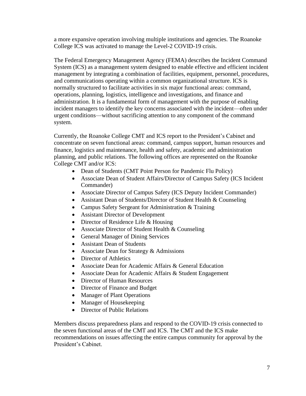a more expansive operation involving multiple institutions and agencies. The Roanoke College ICS was activated to manage the Level-2 COVID-19 crisis.

The Federal Emergency Management Agency (FEMA) describes the Incident Command System (ICS) as a management system designed to enable effective and efficient incident management by integrating a combination of facilities, equipment, personnel, procedures, and communications operating within a common organizational structure. ICS is normally structured to facilitate activities in six major functional areas: command, operations, planning, logistics, intelligence and investigations, and finance and administration. It is a fundamental form of management with the purpose of enabling incident managers to identify the key concerns associated with the incident—often under urgent conditions—without sacrificing attention to any component of the command system.

Currently, the Roanoke College CMT and ICS report to the President's Cabinet and concentrate on seven functional areas: command, campus support, human resources and finance, logistics and maintenance, health and safety, academic and administration planning, and public relations. The following offices are represented on the Roanoke College CMT and/or ICS:

- Dean of Students (CMT Point Person for Pandemic Flu Policy)
- Associate Dean of Student Affairs/Director of Campus Safety (ICS Incident Commander)
- Associate Director of Campus Safety (ICS Deputy Incident Commander)
- Assistant Dean of Students/Director of Student Health & Counseling
- Campus Safety Sergeant for Administration & Training
- Assistant Director of Development
- Director of Residence Life & Housing
- Associate Director of Student Health & Counseling
- General Manager of Dining Services
- Assistant Dean of Students
- Associate Dean for Strategy & Admissions
- Director of Athletics
- Associate Dean for Academic Affairs & General Education
- Associate Dean for Academic Affairs & Student Engagement
- Director of Human Resources
- Director of Finance and Budget
- Manager of Plant Operations
- Manager of Housekeeping
- Director of Public Relations

Members discuss preparedness plans and respond to the COVID-19 crisis connected to the seven functional areas of the CMT and ICS. The CMT and the ICS make recommendations on issues affecting the entire campus community for approval by the President's Cabinet.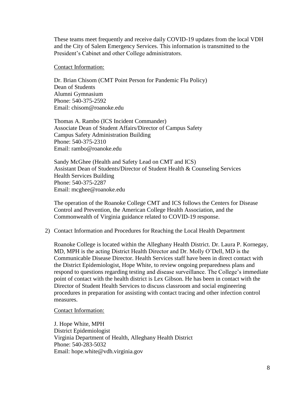These teams meet frequently and receive daily COVID-19 updates from the local VDH and the City of Salem Emergency Services. This information is transmitted to the President's Cabinet and other College administrators.

Contact Information:

Dr. Brian Chisom (CMT Point Person for Pandemic Flu Policy) Dean of Students Alumni Gymnasium Phone: 540-375-2592 Email: chisom@roanoke.edu

Thomas A. Rambo (ICS Incident Commander) Associate Dean of Student Affairs/Director of Campus Safety Campus Safety Administration Building Phone: 540-375-2310 Email: rambo@roanoke.edu

Sandy McGhee (Health and Safety Lead on CMT and ICS) Assistant Dean of Students/Director of Student Health & Counseling Services Health Services Building Phone: 540-375-2287 Email: mcghee@roanoke.edu

The operation of the Roanoke College CMT and ICS follows the Centers for Disease Control and Prevention, the American College Health Association, and the Commonwealth of Virginia guidance related to COVID-19 response.

2) Contact Information and Procedures for Reaching the Local Health Department

Roanoke College is located within the Alleghany Health District. Dr. Laura P. Kornegay, MD, MPH is the acting District Health Director and Dr. Molly O'Dell, MD is the Communicable Disease Director. Health Services staff have been in direct contact with the District Epidemiologist, Hope White, to review ongoing preparedness plans and respond to questions regarding testing and disease surveillance. The College's immediate point of contact with the health district is Lex Gibson. He has been in contact with the Director of Student Health Services to discuss classroom and social engineering procedures in preparation for assisting with contact tracing and other infection control measures.

Contact Information:

J. Hope White, MPH District Epidemiologist Virginia Department of Health, Alleghany Health District Phone: 540-283-5032 Email: hope.white@vdh.virginia.gov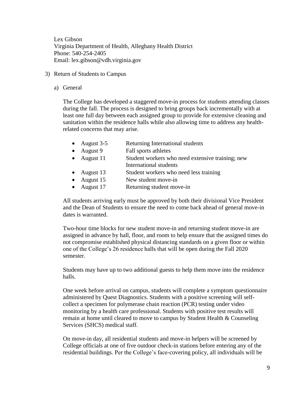Lex Gibson Virginia Department of Health, Alleghany Health District Phone: 540-254-2405 Email: lex.gibson@vdh.virginia.gov

- 3) Return of Students to Campus
	- a) General

The College has developed a staggered move-in process for students attending classes during the fall. The process is designed to bring groups back incrementally with at least one full day between each assigned group to provide for extensive cleaning and sanitation within the residence halls while also allowing time to address any healthrelated concerns that may arise.

- August 3-5 Returning International students
- August 9 Fall sports athletes
- August 11 Student workers who need extensive training; new International students
- August 13 Student workers who need less training
- August 15 New student move-in
- August 17 Returning student move-in

All students arriving early must be approved by both their divisional Vice President and the Dean of Students to ensure the need to come back ahead of general move-in dates is warranted.

Two-hour time blocks for new student move-in and returning student move-in are assigned in advance by hall, floor, and room to help ensure that the assigned times do not compromise established physical distancing standards on a given floor or within one of the College's 26 residence halls that will be open during the Fall 2020 semester.

Students may have up to two additional guests to help them move into the residence halls.

One week before arrival on campus, students will complete a symptom questionnaire administered by Quest Diagnostics. Students with a positive screening will selfcollect a specimen for polymerase chain reaction (PCR) testing under video monitoring by a health care professional. Students with positive test results will remain at home until cleared to move to campus by Student Health & Counseling Services (SHCS) medical staff.

On move-in day, all residential students and move-in helpers will be screened by College officials at one of five outdoor check-in stations before entering any of the residential buildings. Per the College's face-covering policy, all individuals will be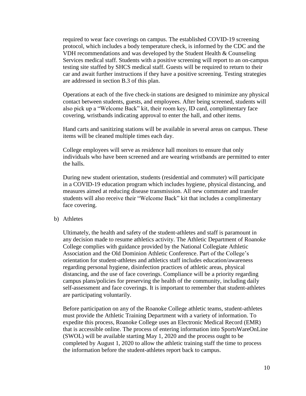required to wear face coverings on campus. The established COVID-19 screening protocol, which includes a body temperature check, is informed by the CDC and the VDH recommendations and was developed by the Student Health & Counseling Services medical staff. Students with a positive screening will report to an on-campus testing site staffed by SHCS medical staff. Guests will be required to return to their car and await further instructions if they have a positive screening. Testing strategies are addressed in section B.3 of this plan.

Operations at each of the five check-in stations are designed to minimize any physical contact between students, guests, and employees. After being screened, students will also pick up a "Welcome Back" kit, their room key, ID card, complimentary face covering, wristbands indicating approval to enter the hall, and other items.

Hand carts and sanitizing stations will be available in several areas on campus. These items will be cleaned multiple times each day.

College employees will serve as residence hall monitors to ensure that only individuals who have been screened and are wearing wristbands are permitted to enter the halls.

During new student orientation, students (residential and commuter) will participate in a COVID-19 education program which includes hygiene, physical distancing, and measures aimed at reducing disease transmission. All new commuter and transfer students will also receive their "Welcome Back" kit that includes a complimentary face covering.

#### b) Athletes

Ultimately, the health and safety of the student-athletes and staff is paramount in any decision made to resume athletics activity. The Athletic Department of Roanoke College complies with guidance provided by the National Collegiate Athletic Association and the Old Dominion Athletic Conference. Part of the College's orientation for student-athletes and athletics staff includes education/awareness regarding personal hygiene, disinfection practices of athletic areas, physical distancing, and the use of face coverings. Compliance will be a priority regarding campus plans/policies for preserving the health of the community, including daily self-assessment and face coverings. It is important to remember that student-athletes are participating voluntarily.

Before participation on any of the Roanoke College athletic teams, student-athletes must provide the Athletic Training Department with a variety of information. To expedite this process, Roanoke College uses an Electronic Medical Record (EMR) that is accessible online. The process of entering information into SportsWareOnLine (SWOL) will be available starting May 1, 2020 and the process ought to be completed by August 1, 2020 to allow the athletic training staff the time to process the information before the student-athletes report back to campus.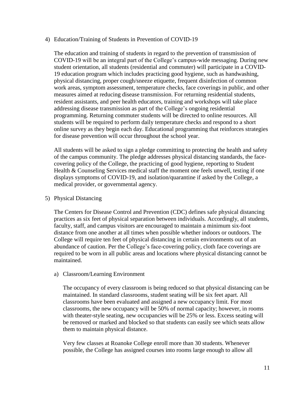#### 4) Education/Training of Students in Prevention of COVID-19

The education and training of students in regard to the prevention of transmission of COVID-19 will be an integral part of the College's campus-wide messaging. During new student orientation, all students (residential and commuter) will participate in a COVID-19 education program which includes practicing good hygiene, such as handwashing, physical distancing, proper cough/sneeze etiquette, frequent disinfection of common work areas, symptom assessment, temperature checks, face coverings in public, and other measures aimed at reducing disease transmission. For returning residential students, resident assistants, and peer health educators, training and workshops will take place addressing disease transmission as part of the College's ongoing residential programming. Returning commuter students will be directed to online resources. All students will be required to perform daily temperature checks and respond to a short online survey as they begin each day. Educational programming that reinforces strategies for disease prevention will occur throughout the school year.

All students will be asked to sign a pledge committing to protecting the health and safety of the campus community. The pledge addresses physical distancing standards, the facecovering policy of the College, the practicing of good hygiene, reporting to Student Health & Counseling Services medical staff the moment one feels unwell, testing if one displays symptoms of COVID-19, and isolation/quarantine if asked by the College, a medical provider, or governmental agency.

## 5) Physical Distancing

The Centers for Disease Control and Prevention (CDC) defines safe physical distancing practices as six feet of physical separation between individuals. Accordingly, all students, faculty, staff, and campus visitors are encouraged to maintain a minimum six-foot distance from one another at all times when possible whether indoors or outdoors. The College will require ten feet of physical distancing in certain environments out of an abundance of caution. Per the College's face-covering policy, cloth face coverings are required to be worn in all public areas and locations where physical distancing cannot be maintained.

#### a) Classroom/Learning Environment

The occupancy of every classroom is being reduced so that physical distancing can be maintained. In standard classrooms, student seating will be six feet apart. All classrooms have been evaluated and assigned a new occupancy limit. For most classrooms, the new occupancy will be 50% of normal capacity; however, in rooms with theater-style seating, new occupancies will be 25% or less. Excess seating will be removed or marked and blocked so that students can easily see which seats allow them to maintain physical distance.

Very few classes at Roanoke College enroll more than 30 students. Whenever possible, the College has assigned courses into rooms large enough to allow all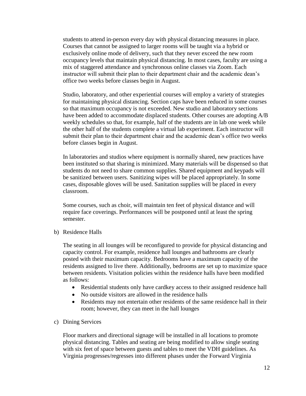students to attend in-person every day with physical distancing measures in place. Courses that cannot be assigned to larger rooms will be taught via a hybrid or exclusively online mode of delivery, such that they never exceed the new room occupancy levels that maintain physical distancing. In most cases, faculty are using a mix of staggered attendance and synchronous online classes via Zoom. Each instructor will submit their plan to their department chair and the academic dean's office two weeks before classes begin in August.

Studio, laboratory, and other experiential courses will employ a variety of strategies for maintaining physical distancing. Section caps have been reduced in some courses so that maximum occupancy is not exceeded. New studio and laboratory sections have been added to accommodate displaced students. Other courses are adopting A/B weekly schedules so that, for example, half of the students are in lab one week while the other half of the students complete a virtual lab experiment. Each instructor will submit their plan to their department chair and the academic dean's office two weeks before classes begin in August.

In laboratories and studios where equipment is normally shared, new practices have been instituted so that sharing is minimized. Many materials will be dispensed so that students do not need to share common supplies. Shared equipment and keypads will be sanitized between users. Sanitizing wipes will be placed appropriately. In some cases, disposable gloves will be used. Sanitation supplies will be placed in every classroom.

Some courses, such as choir, will maintain ten feet of physical distance and will require face coverings. Performances will be postponed until at least the spring semester.

b) Residence Halls

The seating in all lounges will be reconfigured to provide for physical distancing and capacity control. For example, residence hall lounges and bathrooms are clearly posted with their maximum capacity. Bedrooms have a maximum capacity of the residents assigned to live there. Additionally, bedrooms are set up to maximize space between residents. Visitation policies within the residence halls have been modified as follows:

- Residential students only have cardkey access to their assigned residence hall
- No outside visitors are allowed in the residence halls
- Residents may not entertain other residents of the same residence hall in their room; however, they can meet in the hall lounges
- c) Dining Services

Floor markers and directional signage will be installed in all locations to promote physical distancing. Tables and seating are being modified to allow single seating with six feet of space between guests and tables to meet the VDH guidelines. As Virginia progresses/regresses into different phases under the Forward Virginia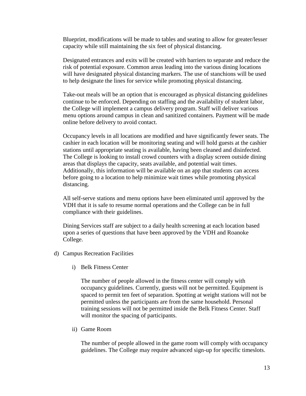Blueprint, modifications will be made to tables and seating to allow for greater/lesser capacity while still maintaining the six feet of physical distancing.

Designated entrances and exits will be created with barriers to separate and reduce the risk of potential exposure. Common areas leading into the various dining locations will have designated physical distancing markers. The use of stanchions will be used to help designate the lines for service while promoting physical distancing.

Take-out meals will be an option that is encouraged as physical distancing guidelines continue to be enforced. Depending on staffing and the availability of student labor, the College will implement a campus delivery program. Staff will deliver various menu options around campus in clean and sanitized containers. Payment will be made online before delivery to avoid contact.

Occupancy levels in all locations are modified and have significantly fewer seats. The cashier in each location will be monitoring seating and will hold guests at the cashier stations until appropriate seating is available, having been cleaned and disinfected. The College is looking to install crowd counters with a display screen outside dining areas that displays the capacity, seats available, and potential wait times. Additionally, this information will be available on an app that students can access before going to a location to help minimize wait times while promoting physical distancing.

All self-serve stations and menu options have been eliminated until approved by the VDH that it is safe to resume normal operations and the College can be in full compliance with their guidelines.

Dining Services staff are subject to a daily health screening at each location based upon a series of questions that have been approved by the VDH and Roanoke College.

- d) Campus Recreation Facilities
	- i) Belk Fitness Center

The number of people allowed in the fitness center will comply with occupancy guidelines. Currently, guests will not be permitted. Equipment is spaced to permit ten feet of separation. Spotting at weight stations will not be permitted unless the participants are from the same household. Personal training sessions will not be permitted inside the Belk Fitness Center. Staff will monitor the spacing of participants.

ii) Game Room

The number of people allowed in the game room will comply with occupancy guidelines. The College may require advanced sign-up for specific timeslots.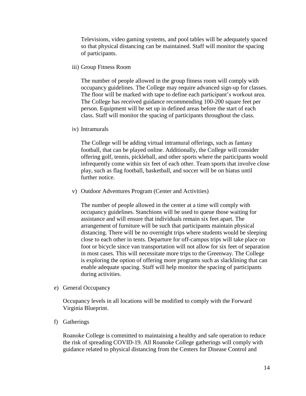Televisions, video gaming systems, and pool tables will be adequately spaced so that physical distancing can be maintained. Staff will monitor the spacing of participants.

iii) Group Fitness Room

The number of people allowed in the group fitness room will comply with occupancy guidelines. The College may require advanced sign-up for classes. The floor will be marked with tape to define each participant's workout area. The College has received guidance recommending 100-200 square feet per person. Equipment will be set up in defined areas before the start of each class. Staff will monitor the spacing of participants throughout the class.

iv) Intramurals

The College will be adding virtual intramural offerings, such as fantasy football, that can be played online. Additionally, the College will consider offering golf, tennis, pickleball, and other sports where the participants would infrequently come within six feet of each other. Team sports that involve close play, such as flag football, basketball, and soccer will be on hiatus until further notice.

v) Outdoor Adventures Program (Center and Activities)

The number of people allowed in the center at a time will comply with occupancy guidelines. Stanchions will be used to queue those waiting for assistance and will ensure that individuals remain six feet apart. The arrangement of furniture will be such that participants maintain physical distancing. There will be no overnight trips where students would be sleeping close to each other in tents. Departure for off-campus trips will take place on foot or bicycle since van transportation will not allow for six feet of separation in most cases. This will necessitate more trips to the Greenway. The College is exploring the option of offering more programs such as slacklining that can enable adequate spacing. Staff will help monitor the spacing of participants during activities.

e) General Occupancy

Occupancy levels in all locations will be modified to comply with the Forward Virginia Blueprint.

f) Gatherings

Roanoke College is committed to maintaining a healthy and safe operation to reduce the risk of spreading COVID-19. All Roanoke College gatherings will comply with guidance related to physical distancing from the Centers for Disease Control and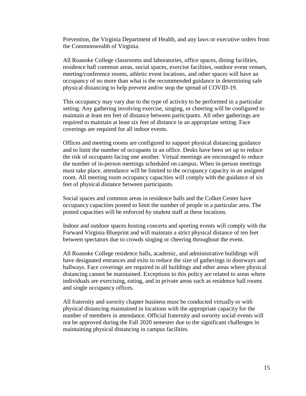Prevention, the Virginia Department of Health, and any laws or executive orders from the Commonwealth of Virginia.

All Roanoke College classrooms and laboratories, office spaces, dining facilities, residence hall common areas, social spaces, exercise facilities, outdoor event venues, meeting/conference rooms, athletic event locations, and other spaces will have an occupancy of no more than what is the recommended guidance in determining safe physical distancing to help prevent and/or stop the spread of COVID-19.

This occupancy may vary due to the type of activity to be performed in a particular setting. Any gathering involving exercise, singing, or cheering will be configured to maintain at least ten feet of distance between participants. All other gatherings are required to maintain at least six feet of distance in an appropriate setting. Face coverings are required for all indoor events.

Offices and meeting rooms are configured to support physical distancing guidance and to limit the number of occupants in an office. Desks have been set up to reduce the risk of occupants facing one another. Virtual meetings are encouraged to reduce the number of in-person meetings scheduled on campus. When in-person meetings must take place, attendance will be limited to the occupancy capacity in an assigned room. All meeting room occupancy capacities will comply with the guidance of six feet of physical distance between participants.

Social spaces and common areas in residence halls and the Colket Center have occupancy capacities posted to limit the number of people in a particular area. The posted capacities will be enforced by student staff at these locations.

Indoor and outdoor spaces hosting concerts and sporting events will comply with the Forward Virginia Blueprint and will maintain a strict physical distance of ten feet between spectators due to crowds singing or cheering throughout the event.

All Roanoke College residence halls, academic, and administrative buildings will have designated entrances and exits to reduce the size of gatherings in doorways and hallways. Face coverings are required in all buildings and other areas where physical distancing cannot be maintained. Exceptions to this policy are related to areas where individuals are exercising, eating, and in private areas such as residence hall rooms and single occupancy offices.

All fraternity and sorority chapter business must be conducted virtually or with physical distancing maintained in locations with the appropriate capacity for the number of members in attendance. Official fraternity and sorority social events will not be approved during the Fall 2020 semester due to the significant challenges in maintaining physical distancing in campus facilities.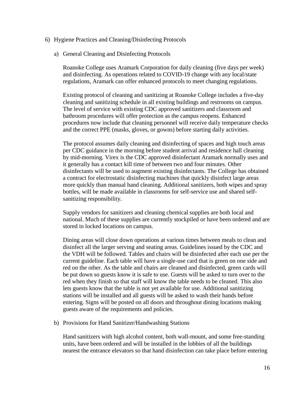- 6) Hygiene Practices and Cleaning/Disinfecting Protocols
	- a) General Cleaning and Disinfecting Protocols

Roanoke College uses Aramark Corporation for daily cleaning (five days per week) and disinfecting. As operations related to COVID-19 change with any local/state regulations, Aramark can offer enhanced protocols to meet changing regulations.

Existing protocol of cleaning and sanitizing at Roanoke College includes a five-day cleaning and sanitizing schedule in all existing buildings and restrooms on campus. The level of service with existing CDC approved sanitizers and classroom and bathroom procedures will offer protection as the campus reopens. Enhanced procedures now include that cleaning personnel will receive daily temperature checks and the correct PPE (masks, gloves, or gowns) before starting daily activities.

The protocol assumes daily cleaning and disinfecting of spaces and high touch areas per CDC guidance in the morning before student arrival and residence hall cleaning by mid-morning. Virex is the CDC approved disinfectant Aramark normally uses and it generally has a contact kill time of between two and four minutes. Other disinfectants will be used to augment existing disinfectants. The College has obtained a contract for electrostatic disinfecting machines that quickly disinfect large areas more quickly than manual hand cleaning. Additional sanitizers, both wipes and spray bottles, will be made available in classrooms for self-service use and shared selfsanitizing responsibility.

Supply vendors for sanitizers and cleaning chemical supplies are both local and national. Much of these supplies are currently stockpiled or have been ordered and are stored in locked locations on campus.

Dining areas will close down operations at various times between meals to clean and disinfect all the larger serving and seating areas. Guidelines issued by the CDC and the VDH will be followed. Tables and chairs will be disinfected after each use per the current guideline. Each table will have a single-use card that is green on one side and red on the other. As the table and chairs are cleaned and disinfected, green cards will be put down so guests know it is safe to use. Guests will be asked to turn over to the red when they finish so that staff will know the table needs to be cleaned. This also lets guests know that the table is not yet available for use. Additional sanitizing stations will be installed and all guests will be asked to wash their hands before entering. Signs will be posted on all doors and throughout dining locations making guests aware of the requirements and policies.

#### b) Provisions for Hand Sanitizer/Handwashing Stations

Hand sanitizers with high alcohol content, both wall-mount, and some free-standing units, have been ordered and will be installed in the lobbies of all the buildings nearest the entrance elevators so that hand disinfection can take place before entering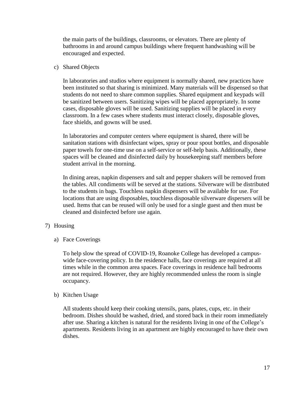the main parts of the buildings, classrooms, or elevators. There are plenty of bathrooms in and around campus buildings where frequent handwashing will be encouraged and expected.

## c) Shared Objects

In laboratories and studios where equipment is normally shared, new practices have been instituted so that sharing is minimized. Many materials will be dispensed so that students do not need to share common supplies. Shared equipment and keypads will be sanitized between users. Sanitizing wipes will be placed appropriately. In some cases, disposable gloves will be used. Sanitizing supplies will be placed in every classroom. In a few cases where students must interact closely, disposable gloves, face shields, and gowns will be used.

In laboratories and computer centers where equipment is shared, there will be sanitation stations with disinfectant wipes, spray or pour spout bottles, and disposable paper towels for one-time use on a self-service or self-help basis. Additionally, these spaces will be cleaned and disinfected daily by housekeeping staff members before student arrival in the morning.

In dining areas, napkin dispensers and salt and pepper shakers will be removed from the tables. All condiments will be served at the stations. Silverware will be distributed to the students in bags. Touchless napkin dispensers will be available for use. For locations that are using disposables, touchless disposable silverware dispersers will be used. Items that can be reused will only be used for a single guest and then must be cleaned and disinfected before use again.

## 7) Housing

a) Face Coverings

To help slow the spread of COVID-19, Roanoke College has developed a campuswide face-covering policy. In the residence halls, face coverings are required at all times while in the common area spaces. Face coverings in residence hall bedrooms are not required. However, they are highly recommended unless the room is single occupancy.

#### b) Kitchen Usage

All students should keep their cooking utensils, pans, plates, cups, etc. in their bedroom. Dishes should be washed, dried, and stored back in their room immediately after use. Sharing a kitchen is natural for the residents living in one of the College's apartments. Residents living in an apartment are highly encouraged to have their own dishes.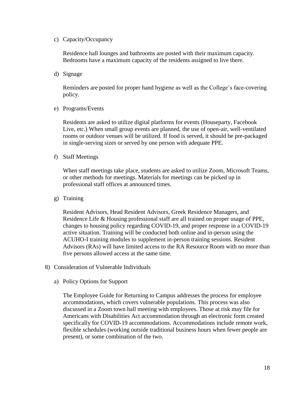c) Capacity/Occupancy

Residence hall lounges and bathrooms are posted with their maximum capacity. Bedrooms have a maximum capacity of the residents assigned to live there.

d) Signage

Reminders are posted for proper hand hygiene as well as the College's face-covering policy.

e) Programs/Events

Residents are asked to utilize digital platforms for events (Houseparty, Facebook Live, etc.) When small group events are planned, the use of open-air, well-ventilated rooms or outdoor venues will be utilized. If food is served, it should be pre-packaged in single-serving sizes or served by one person with adequate PPE.

f) Staff Meetings

When staff meetings take place, students are asked to utilize Zoom, Microsoft Teams, or other methods for meetings. Materials for meetings can be picked up in professional staff offices at announced times.

g) Training

Resident Advisors, Head Resident Advisors, Greek Residence Managers, and Residence Life & Housing professional staff are all trained on proper usage of PPE, changes to housing policy regarding COVID-19, and proper response in a COVID-19 active situation. Training will be conducted both online and in-person using the ACUHO-I training modules to supplement in-person training sessions. Resident Advisors (RAs) will have limited access to the RA Resource Room with no more than five persons allowed access at the same time.

- 8) Consideration of Vulnerable Individuals
	- a) Policy Options for Support

The Employee Guide for Returning to Campus addresses the process for employee accommodations, which covers vulnerable populations. This process was also discussed in a Zoom town hall meeting with employees. Those at risk may file for Americans with Disabilities Act accommodation through an electronic form created specifically for COVID-19 accommodations. Accommodations include remote work, flexible schedules (working outside traditional business hours when fewer people are present), or some combination of the two.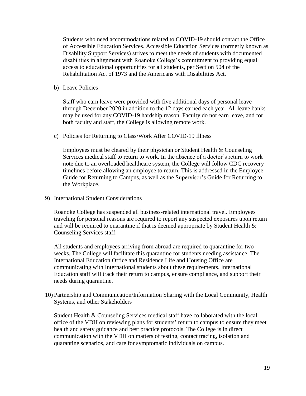Students who need accommodations related to COVID-19 should contact the Office of Accessible Education Services. Accessible Education Services (formerly known as Disability Support Services) strives to meet the needs of students with documented disabilities in alignment with Roanoke College's commitment to providing equal access to educational opportunities for all students, per Section 504 of the Rehabilitation Act of 1973 and the Americans with Disabilities Act.

b) Leave Policies

Staff who earn leave were provided with five additional days of personal leave through December 2020 in addition to the 12 days earned each year. All leave banks may be used for any COVID-19 hardship reason. Faculty do not earn leave, and for both faculty and staff, the College is allowing remote work.

c) Policies for Returning to Class/Work After COVID-19 Illness

Employees must be cleared by their physician or Student Health  $\&$  Counseling Services medical staff to return to work. In the absence of a doctor's return to work note due to an overloaded healthcare system, the College will follow CDC recovery timelines before allowing an employee to return. This is addressed in the Employee Guide for Returning to Campus, as well as the Supervisor's Guide for Returning to the Workplace.

9) International Student Considerations

Roanoke College has suspended all business-related international travel. Employees traveling for personal reasons are required to report any suspected exposures upon return and will be required to quarantine if that is deemed appropriate by Student Health & Counseling Services staff.

All students and employees arriving from abroad are required to quarantine for two weeks. The College will facilitate this quarantine for students needing assistance. The International Education Office and Residence Life and Housing Office are communicating with International students about these requirements. International Education staff will track their return to campus, ensure compliance, and support their needs during quarantine.

10) Partnership and Communication/Information Sharing with the Local Community, Health Systems, and other Stakeholders

Student Health & Counseling Services medical staff have collaborated with the local office of the VDH on reviewing plans for students' return to campus to ensure they meet health and safety guidance and best practice protocols. The College is in direct communication with the VDH on matters of testing, contact tracing, isolation and quarantine scenarios, and care for symptomatic individuals on campus.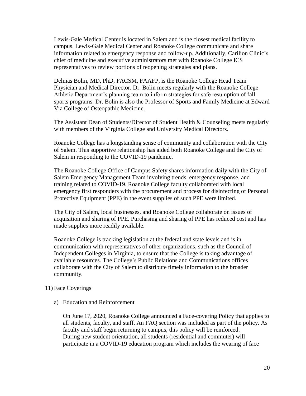Lewis-Gale Medical Center is located in Salem and is the closest medical facility to campus. Lewis-Gale Medical Center and Roanoke College communicate and share information related to emergency response and follow-up. Additionally, Carilion Clinic's chief of medicine and executive administrators met with Roanoke College ICS representatives to review portions of reopening strategies and plans.

Delmas Bolin, MD, PhD, FACSM, FAAFP, is the Roanoke College Head Team Physician and Medical Director. Dr. Bolin meets regularly with the Roanoke College Athletic Department's planning team to inform strategies for safe resumption of fall sports programs. Dr. Bolin is also the Professor of Sports and Family Medicine at Edward Via College of Osteopathic Medicine.

The Assistant Dean of Students/Director of Student Health & Counseling meets regularly with members of the Virginia College and University Medical Directors.

Roanoke College has a longstanding sense of community and collaboration with the City of Salem. This supportive relationship has aided both Roanoke College and the City of Salem in responding to the COVID-19 pandemic.

The Roanoke College Office of Campus Safety shares information daily with the City of Salem Emergency Management Team involving trends, emergency response, and training related to COVID-19. Roanoke College faculty collaborated with local emergency first responders with the procurement and process for disinfecting of Personal Protective Equipment (PPE) in the event supplies of such PPE were limited.

The City of Salem, local businesses, and Roanoke College collaborate on issues of acquisition and sharing of PPE. Purchasing and sharing of PPE has reduced cost and has made supplies more readily available.

Roanoke College is tracking legislation at the federal and state levels and is in communication with representatives of other organizations, such as the Council of Independent Colleges in Virginia, to ensure that the College is taking advantage of available resources. The College's Public Relations and Communications offices collaborate with the City of Salem to distribute timely information to the broader community.

## 11) Face Coverings

a) Education and Reinforcement

On June 17, 2020, Roanoke College announced a Face-covering Policy that applies to all students, faculty, and staff. An FAQ section was included as part of the policy. As faculty and staff begin returning to campus, this policy will be reinforced. During new student orientation, all students (residential and commuter) will participate in a COVID-19 education program which includes the wearing of face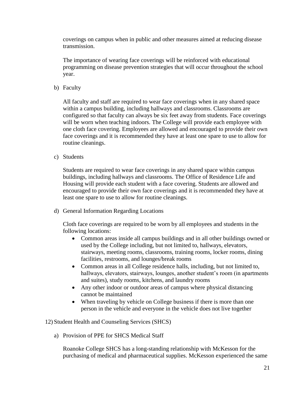coverings on campus when in public and other measures aimed at reducing disease transmission.

The importance of wearing face coverings will be reinforced with educational programming on disease prevention strategies that will occur throughout the school year.

b) Faculty

All faculty and staff are required to wear face coverings when in any shared space within a campus building, including hallways and classrooms. Classrooms are configured so that faculty can always be six feet away from students. Face coverings will be worn when teaching indoors. The College will provide each employee with one cloth face covering. Employees are allowed and encouraged to provide their own face coverings and it is recommended they have at least one spare to use to allow for routine cleanings.

c) Students

Students are required to wear face coverings in any shared space within campus buildings, including hallways and classrooms. The Office of Residence Life and Housing will provide each student with a face covering. Students are allowed and encouraged to provide their own face coverings and it is recommended they have at least one spare to use to allow for routine cleanings.

d) General Information Regarding Locations

Cloth face coverings are required to be worn by all employees and students in the following locations:

- Common areas inside all campus buildings and in all other buildings owned or used by the College including, but not limited to, hallways, elevators, stairways, meeting rooms, classrooms, training rooms, locker rooms, dining facilities, restrooms, and lounges/break rooms
- Common areas in all College residence halls, including, but not limited to, hallways, elevators, stairways, lounges, another student's room (in apartments and suites), study rooms, kitchens, and laundry rooms
- Any other indoor or outdoor areas of campus where physical distancing cannot be maintained
- When traveling by vehicle on College business if there is more than one person in the vehicle and everyone in the vehicle does not live together

## 12) Student Health and Counseling Services (SHCS)

a) Provision of PPE for SHCS Medical Staff

Roanoke College SHCS has a long-standing relationship with McKesson for the purchasing of medical and pharmaceutical supplies. McKesson experienced the same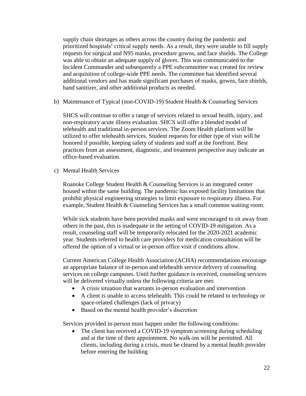supply chain shortages as others across the country during the pandemic and prioritized hospitals' critical supply needs. As a result, they were unable to fill supply requests for surgical and N95 masks, procedure gowns, and face shields. The College was able to obtain an adequate supply of gloves. This was communicated to the Incident Commander and subsequently a PPE subcommittee was created for review and acquisition of college-wide PPE needs. The committee has identified several additional vendors and has made significant purchases of masks, gowns, face shields, hand sanitizer, and other additional products as needed.

b) Maintenance of Typical (non-COVID-19) Student Health & Counseling Services

SHCS will continue to offer a range of services related to sexual health, injury, and non-respiratory acute illness evaluation. SHCS will offer a blended model of telehealth and traditional in-person services. The Zoom Health platform will be utilized to offer telehealth services. Student requests for either type of visit will be honored if possible, keeping safety of students and staff at the forefront. Best practices from an assessment, diagnostic, and treatment perspective may indicate an office-based evaluation.

c) Mental Health Services

Roanoke College Student Health & Counseling Services is an integrated center housed within the same building. The pandemic has exposed facility limitations that prohibit physical engineering strategies to limit exposure to respiratory illness. For example, Student Health & Counseling Services has a small common waiting room.

While sick students have been provided masks and were encouraged to sit away from others in the past, this is inadequate in the setting of COVID-19 mitigation. As a result, counseling staff will be temporarily relocated for the 2020-2021 academic year. Students referred to health care providers for medication consultation will be offered the option of a virtual or in-person office visit if conditions allow.

Current American College Health Association (ACHA) recommendations encourage an appropriate balance of in-person and telehealth service delivery of counseling services on college campuses. Until further guidance is received, counseling services will be delivered virtually unless the following criteria are met:

- A crisis situation that warrants in-person evaluation and intervention
- A client is unable to access telehealth. This could be related to technology or space-related challenges (lack of privacy)
- Based on the mental health provider's discretion

Services provided in-person must happen under the following conditions:

• The client has received a COVID-19 symptom screening during scheduling and at the time of their appointment. No walk-ins will be permitted. All clients, including during a crisis, must be cleared by a mental health provider before entering the building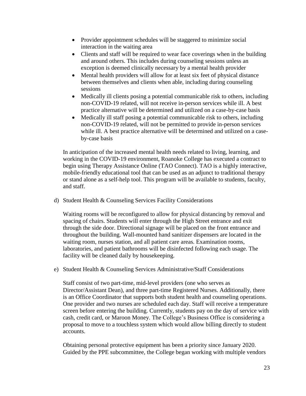- Provider appointment schedules will be staggered to minimize social interaction in the waiting area
- Clients and staff will be required to wear face coverings when in the building and around others. This includes during counseling sessions unless an exception is deemed clinically necessary by a mental health provider
- Mental health providers will allow for at least six feet of physical distance between themselves and clients when able, including during counseling sessions
- Medically ill clients posing a potential communicable risk to others, including non-COVID-19 related, will not receive in-person services while ill. A best practice alternative will be determined and utilized on a case-by-case basis
- Medically ill staff posing a potential communicable risk to others, including non-COVID-19 related, will not be permitted to provide in-person services while ill. A best practice alternative will be determined and utilized on a caseby-case basis

In anticipation of the increased mental health needs related to living, learning, and working in the COVID-19 environment, Roanoke College has executed a contract to begin using Therapy Assistance Online (TAO Connect). TAO is a highly interactive, mobile-friendly educational tool that can be used as an adjunct to traditional therapy or stand alone as a self-help tool. This program will be available to students, faculty, and staff.

d) Student Health & Counseling Services Facility Considerations

Waiting rooms will be reconfigured to allow for physical distancing by removal and spacing of chairs. Students will enter through the High Street entrance and exit through the side door. Directional signage will be placed on the front entrance and throughout the building. Wall-mounted hand sanitizer dispensers are located in the waiting room, nurses station, and all patient care areas. Examination rooms, laboratories, and patient bathrooms will be disinfected following each usage. The facility will be cleaned daily by housekeeping.

e) Student Health & Counseling Services Administrative/Staff Considerations

Staff consist of two part-time, mid-level providers (one who serves as Director/Assistant Dean), and three part-time Registered Nurses. Additionally, there is an Office Coordinator that supports both student health and counseling operations. One provider and two nurses are scheduled each day. Staff will receive a temperature screen before entering the building. Currently, students pay on the day of service with cash, credit card, or Maroon Money. The College's Business Office is considering a proposal to move to a touchless system which would allow billing directly to student accounts.

Obtaining personal protective equipment has been a priority since January 2020. Guided by the PPE subcommittee, the College began working with multiple vendors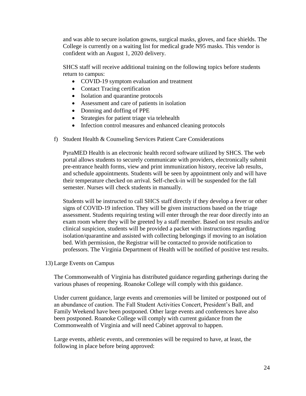and was able to secure isolation gowns, surgical masks, gloves, and face shields. The College is currently on a waiting list for medical grade N95 masks. This vendor is confident with an August 1, 2020 delivery.

SHCS staff will receive additional training on the following topics before students return to campus:

- COVID-19 symptom evaluation and treatment
- Contact Tracing certification
- Isolation and quarantine protocols
- Assessment and care of patients in isolation
- Donning and doffing of PPE
- Strategies for patient triage via telehealth
- Infection control measures and enhanced cleaning protocols
- f) Student Health & Counseling Services Patient Care Considerations

PyraMED Health is an electronic health record software utilized by SHCS. The web portal allows students to securely communicate with providers, electronically submit pre-entrance health forms, view and print immunization history, receive lab results, and schedule appointments. Students will be seen by appointment only and will have their temperature checked on arrival. Self-check-in will be suspended for the fall semester. Nurses will check students in manually.

Students will be instructed to call SHCS staff directly if they develop a fever or other signs of COVID-19 infection. They will be given instructions based on the triage assessment. Students requiring testing will enter through the rear door directly into an exam room where they will be greeted by a staff member. Based on test results and/or clinical suspicion, students will be provided a packet with instructions regarding isolation/quarantine and assisted with collecting belongings if moving to an isolation bed. With permission, the Registrar will be contacted to provide notification to professors. The Virginia Department of Health will be notified of positive test results.

13) Large Events on Campus

The Commonwealth of Virginia has distributed guidance regarding gatherings during the various phases of reopening. Roanoke College will comply with this guidance.

Under current guidance, large events and ceremonies will be limited or postponed out of an abundance of caution. The Fall Student Activities Concert, President's Ball, and Family Weekend have been postponed. Other large events and conferences have also been postponed. Roanoke College will comply with current guidance from the Commonwealth of Virginia and will need Cabinet approval to happen.

Large events, athletic events, and ceremonies will be required to have, at least, the following in place before being approved: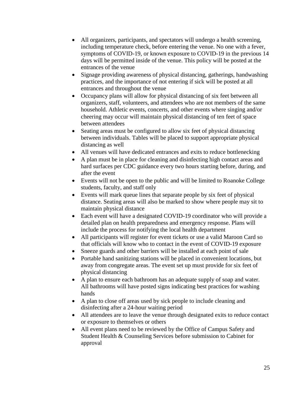- All organizers, participants, and spectators will undergo a health screening, including temperature check, before entering the venue. No one with a fever, symptoms of COVID-19, or known exposure to COVID-19 in the previous 14 days will be permitted inside of the venue. This policy will be posted at the entrances of the venue
- Signage providing awareness of physical distancing, gatherings, handwashing practices, and the importance of not entering if sick will be posted at all entrances and throughout the venue
- Occupancy plans will allow for physical distancing of six feet between all organizers, staff, volunteers, and attendees who are not members of the same household. Athletic events, concerts, and other events where singing and/or cheering may occur will maintain physical distancing of ten feet of space between attendees
- Seating areas must be configured to allow six feet of physical distancing between individuals. Tables will be placed to support appropriate physical distancing as well
- All venues will have dedicated entrances and exits to reduce bottlenecking
- A plan must be in place for cleaning and disinfecting high contact areas and hard surfaces per CDC guidance every two hours starting before, during, and after the event
- Events will not be open to the public and will be limited to Roanoke College students, faculty, and staff only
- Events will mark queue lines that separate people by six feet of physical distance. Seating areas will also be marked to show where people may sit to maintain physical distance
- Each event will have a designated COVID-19 coordinator who will provide a detailed plan on health preparedness and emergency response. Plans will include the process for notifying the local health department
- All participants will register for event tickets or use a valid Maroon Card so that officials will know who to contact in the event of COVID-19 exposure
- Sneeze guards and other barriers will be installed at each point of sale
- Portable hand sanitizing stations will be placed in convenient locations, but away from congregate areas. The event set up must provide for six feet of physical distancing
- A plan to ensure each bathroom has an adequate supply of soap and water. All bathrooms will have posted signs indicating best practices for washing hands
- A plan to close off areas used by sick people to include cleaning and disinfecting after a 24-hour waiting period
- All attendees are to leave the venue through designated exits to reduce contact or exposure to themselves or others
- All event plans need to be reviewed by the Office of Campus Safety and Student Health & Counseling Services before submission to Cabinet for approval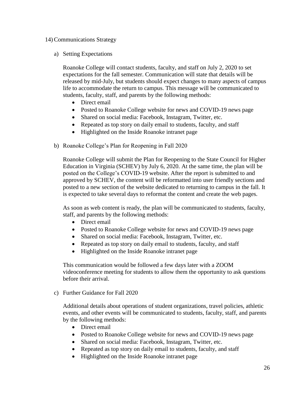## 14)Communications Strategy

## a) Setting Expectations

Roanoke College will contact students, faculty, and staff on July 2, 2020 to set expectations for the fall semester. Communication will state that details will be released by mid-July, but students should expect changes to many aspects of campus life to accommodate the return to campus. This message will be communicated to students, faculty, staff, and parents by the following methods:

- Direct email
- Posted to Roanoke College website for news and COVID-19 news page
- Shared on social media: Facebook, Instagram, Twitter, etc.
- Repeated as top story on daily email to students, faculty, and staff
- Highlighted on the Inside Roanoke intranet page
- b) Roanoke College's Plan for Reopening in Fall 2020

Roanoke College will submit the Plan for Reopening to the State Council for Higher Education in Virginia (SCHEV) by July 6, 2020. At the same time, the plan will be posted on the College's COVID-19 website. After the report is submitted to and approved by SCHEV, the content will be reformatted into user friendly sections and posted to a new section of the website dedicated to returning to campus in the fall. It is expected to take several days to reformat the content and create the web pages.

As soon as web content is ready, the plan will be communicated to students, faculty, staff, and parents by the following methods:

- Direct email
- Posted to Roanoke College website for news and COVID-19 news page
- Shared on social media: Facebook, Instagram, Twitter, etc.
- Repeated as top story on daily email to students, faculty, and staff
- Highlighted on the Inside Roanoke intranet page

This communication would be followed a few days later with a ZOOM videoconference meeting for students to allow them the opportunity to ask questions before their arrival.

c) Further Guidance for Fall 2020

Additional details about operations of student organizations, travel policies, athletic events, and other events will be communicated to students, faculty, staff, and parents by the following methods:

- Direct email
- Posted to Roanoke College website for news and COVID-19 news page
- Shared on social media: Facebook, Instagram, Twitter, etc.
- Repeated as top story on daily email to students, faculty, and staff
- Highlighted on the Inside Roanoke intranet page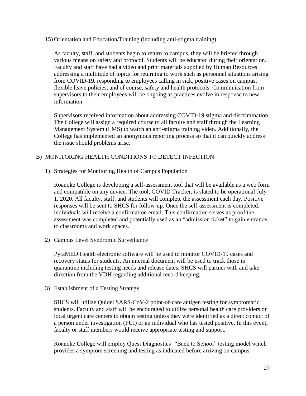15) Orientation and Education/Training (including anti-stigma training)

As faculty, staff, and students begin to return to campus, they will be briefed through various means on safety and protocol. Students will be educated during their orientation. Faculty and staff have had a video and print materials supplied by Human Resources addressing a multitude of topics for returning to work such as personnel situations arising from COVID-19, responding to employees calling in sick, positive cases on campus, flexible leave policies, and of course, safety and health protocols. Communication from supervisors to their employees will be ongoing as practices evolve in response to new information.

Supervisors received information about addressing COVID-19 stigma and discrimination. The College will assign a required course to all faculty and staff through the Learning Management System (LMS) to watch an anti-stigma training video. Additionally, the College has implemented an anonymous reporting process so that it can quickly address the issue should problems arise.

## B) MONITORING HEALTH CONDITIONS TO DETECT INFECTION

1) Strategies for Monitoring Health of Campus Population

Roanoke College is developing a self-assessment tool that will be available as a web form and compatible on any device. The tool, COVID Tracker, is slated to be operational July 1, 2020. All faculty, staff, and students will complete the assessment each day. Positive responses will be sent to SHCS for follow-up. Once the self-assessment is completed, individuals will receive a confirmation email. This confirmation serves as proof the assessment was completed and potentially used as an "admission ticket" to gain entrance to classrooms and work spaces.

2) Campus Level Syndromic Surveillance

PyraMED Health electronic software will be used to monitor COVID-19 cases and recovery status for students. An internal document will be used to track those in quarantine including testing needs and release dates. SHCS will partner with and take direction from the VDH regarding additional record keeping.

3) Establishment of a Testing Strategy

SHCS will utilize Quidel SARS-CoV-2 point-of-care antigen testing for symptomatic students. Faculty and staff will be encouraged to utilize personal health care providers or local urgent care centers to obtain testing unless they were identified as a direct contact of a person under investigation (PUI) or an individual who has tested positive. In this event, faculty or staff members would receive appropriate testing and support.

Roanoke College will employ Quest Diagnostics' "Back to School" testing model which provides a symptom screening and testing as indicated before arriving on campus.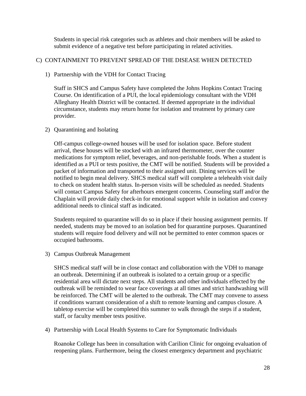Students in special risk categories such as athletes and choir members will be asked to submit evidence of a negative test before participating in related activities.

## C) CONTAINMENT TO PREVENT SPREAD OF THE DISEASE WHEN DETECTED

## 1) Partnership with the VDH for Contact Tracing

Staff in SHCS and Campus Safety have completed the Johns Hopkins Contact Tracing Course. On identification of a PUI, the local epidemiology consultant with the VDH Alleghany Health District will be contacted. If deemed appropriate in the individual circumstance, students may return home for isolation and treatment by primary care provider.

## 2) Quarantining and Isolating

Off-campus college-owned houses will be used for isolation space. Before student arrival, these houses will be stocked with an infrared thermometer, over the counter medications for symptom relief, beverages, and non-perishable foods. When a student is identified as a PUI or tests positive, the CMT will be notified. Students will be provided a packet of information and transported to their assigned unit. Dining services will be notified to begin meal delivery. SHCS medical staff will complete a telehealth visit daily to check on student health status. In-person visits will be scheduled as needed. Students will contact Campus Safety for afterhours emergent concerns. Counseling staff and/or the Chaplain will provide daily check-in for emotional support while in isolation and convey additional needs to clinical staff as indicated.

Students required to quarantine will do so in place if their housing assignment permits. If needed, students may be moved to an isolation bed for quarantine purposes. Quarantined students will require food delivery and will not be permitted to enter common spaces or occupied bathrooms.

3) Campus Outbreak Management

SHCS medical staff will be in close contact and collaboration with the VDH to manage an outbreak. Determining if an outbreak is isolated to a certain group or a specific residential area will dictate next steps. All students and other individuals effected by the outbreak will be reminded to wear face coverings at all times and strict handwashing will be reinforced. The CMT will be alerted to the outbreak. The CMT may convene to assess if conditions warrant consideration of a shift to remote learning and campus closure. A tabletop exercise will be completed this summer to walk through the steps if a student, staff, or faculty member tests positive.

4) Partnership with Local Health Systems to Care for Symptomatic Individuals

Roanoke College has been in consultation with Carilion Clinic for ongoing evaluation of reopening plans. Furthermore, being the closest emergency department and psychiatric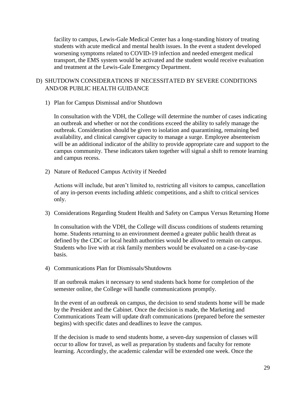facility to campus, Lewis-Gale Medical Center has a long-standing history of treating students with acute medical and mental health issues. In the event a student developed worsening symptoms related to COVID-19 infection and needed emergent medical transport, the EMS system would be activated and the student would receive evaluation and treatment at the Lewis-Gale Emergency Department.

## D) SHUTDOWN CONSIDERATIONS IF NECESSITATED BY SEVERE CONDITIONS AND/OR PUBLIC HEALTH GUIDANCE

1) Plan for Campus Dismissal and/or Shutdown

In consultation with the VDH, the College will determine the number of cases indicating an outbreak and whether or not the conditions exceed the ability to safely manage the outbreak. Consideration should be given to isolation and quarantining, remaining bed availability, and clinical caregiver capacity to manage a surge. Employee absenteeism will be an additional indicator of the ability to provide appropriate care and support to the campus community. These indicators taken together will signal a shift to remote learning and campus recess.

2) Nature of Reduced Campus Activity if Needed

Actions will include, but aren't limited to, restricting all visitors to campus, cancellation of any in-person events including athletic competitions, and a shift to critical services only.

3) Considerations Regarding Student Health and Safety on Campus Versus Returning Home

In consultation with the VDH, the College will discuss conditions of students returning home. Students returning to an environment deemed a greater public health threat as defined by the CDC or local health authorities would be allowed to remain on campus. Students who live with at risk family members would be evaluated on a case-by-case basis.

4) Communications Plan for Dismissals/Shutdowns

If an outbreak makes it necessary to send students back home for completion of the semester online, the College will handle communications promptly.

In the event of an outbreak on campus, the decision to send students home will be made by the President and the Cabinet. Once the decision is made, the Marketing and Communications Team will update draft communications (prepared before the semester begins) with specific dates and deadlines to leave the campus.

If the decision is made to send students home, a seven-day suspension of classes will occur to allow for travel, as well as preparation by students and faculty for remote learning. Accordingly, the academic calendar will be extended one week. Once the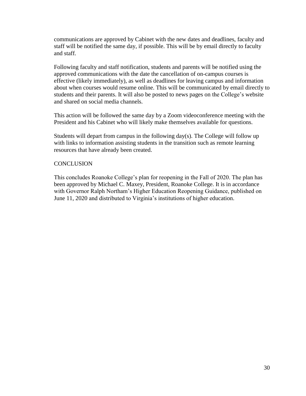communications are approved by Cabinet with the new dates and deadlines, faculty and staff will be notified the same day, if possible. This will be by email directly to faculty and staff.

Following faculty and staff notification, students and parents will be notified using the approved communications with the date the cancellation of on-campus courses is effective (likely immediately), as well as deadlines for leaving campus and information about when courses would resume online. This will be communicated by email directly to students and their parents. It will also be posted to news pages on the College's website and shared on social media channels.

This action will be followed the same day by a Zoom videoconference meeting with the President and his Cabinet who will likely make themselves available for questions.

Students will depart from campus in the following  $day(s)$ . The College will follow up with links to information assisting students in the transition such as remote learning resources that have already been created.

## **CONCLUSION**

This concludes Roanoke College's plan for reopening in the Fall of 2020. The plan has been approved by Michael C. Maxey, President, Roanoke College. It is in accordance with Governor Ralph Northam's Higher Education Reopening Guidance, published on June 11, 2020 and distributed to Virginia's institutions of higher education.